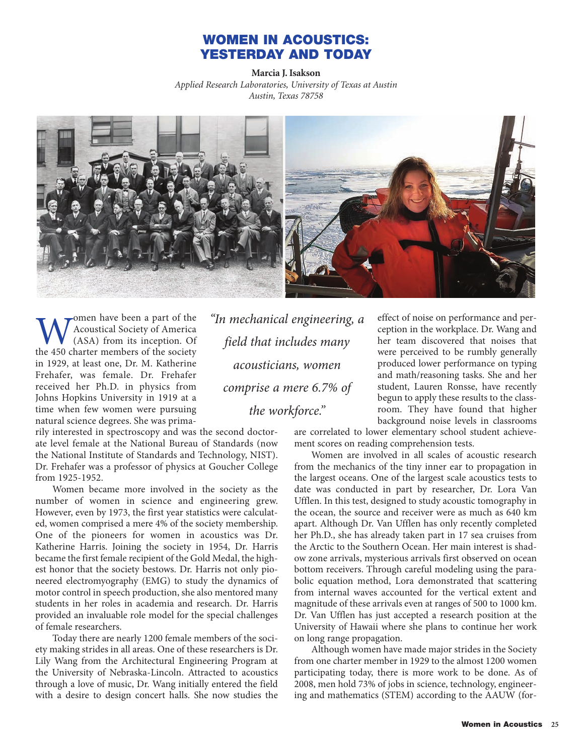## **WOMEN IN ACOUSTICS: YESTERDAY AND TODAY**

**Marcia J. Isakson** *Applied Research Laboratories, University of Texas at Austin Austin, Texas 78758*



**W** Acoustical Society of America<br>(ASA) from its inception. Of<br>the 450 charter members of the society Acoustical Society of America (ASA) from its inception. Of in 1929, at least one, Dr. M. Katherine Frehafer, was female. Dr. Frehafer received her Ph.D. in physics from Johns Hopkins University in 1919 at a time when few women were pursuing natural science degrees. She was prima-

rily interested in spectroscopy and was the second doctorate level female at the National Bureau of Standards (now the National Institute of Standards and Technology, NIST). Dr. Frehafer was a professor of physics at Goucher College from 1925-1952.

Women became more involved in the society as the number of women in science and engineering grew. However, even by 1973, the first year statistics were calculated, women comprised a mere 4% of the society membership. One of the pioneers for women in acoustics was Dr. Katherine Harris. Joining the society in 1954, Dr. Harris became the first female recipient of the Gold Medal, the highest honor that the society bestows. Dr. Harris not only pioneered electromyography (EMG) to study the dynamics of motor control in speech production, she also mentored many students in her roles in academia and research. Dr. Harris provided an invaluable role model for the special challenges of female researchers.

Today there are nearly 1200 female members of the society making strides in all areas. One of these researchers is Dr. Lily Wang from the Architectural Engineering Program at the University of Nebraska-Lincoln. Attracted to acoustics through a love of music, Dr. Wang initially entered the field with a desire to design concert halls. She now studies the

*"In mechanical engineering, a field that includes many acousticians, women comprise a mere 6.7% of the workforce."* 

effect of noise on performance and perception in the workplace. Dr. Wang and her team discovered that noises that were perceived to be rumbly generally produced lower performance on typing and math/reasoning tasks. She and her student, Lauren Ronsse, have recently begun to apply these results to the classroom. They have found that higher background noise levels in classrooms

are correlated to lower elementary school student achievement scores on reading comprehension tests.

Women are involved in all scales of acoustic research from the mechanics of the tiny inner ear to propagation in the largest oceans. One of the largest scale acoustics tests to date was conducted in part by researcher, Dr. Lora Van Ufflen. In this test, designed to study acoustic tomography in the ocean, the source and receiver were as much as 640 km apart. Although Dr. Van Ufflen has only recently completed her Ph.D., she has already taken part in 17 sea cruises from the Arctic to the Southern Ocean. Her main interest is shadow zone arrivals, mysterious arrivals first observed on ocean bottom receivers. Through careful modeling using the parabolic equation method, Lora demonstrated that scattering from internal waves accounted for the vertical extent and magnitude of these arrivals even at ranges of 500 to 1000 km. Dr. Van Ufflen has just accepted a research position at the University of Hawaii where she plans to continue her work on long range propagation.

Although women have made major strides in the Society from one charter member in 1929 to the almost 1200 women participating today, there is more work to be done. As of 2008, men hold 73% of jobs in science, technology, engineering and mathematics (STEM) according to the AAUW (for